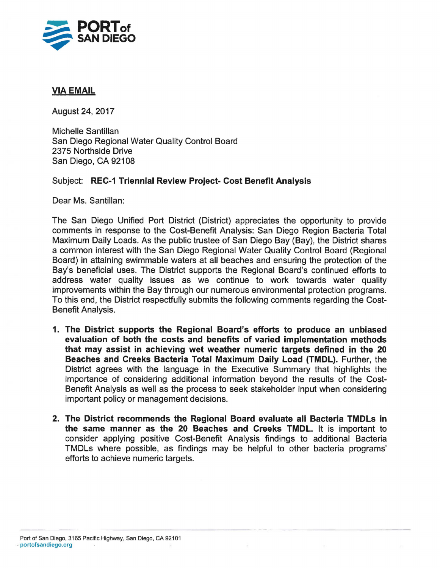

## **VIA EMAIL**

August24,2017

Michelle Santillan San Diego Regional Water Quality Control Board 2375 Northside Drive San Diego, CA 92108

## Subject: **REC-1 Triennial Review Project- Cost Benefit Analysis**

Dear Ms. Santillan:

The San Diego Unified Port District (District) appreciates the opportunity to provide comments in response to the Cost-Benefit Analysis: San Diego Region Bacteria Total Maximum Daily Loads. As the public trustee of San Diego Bay (Bay), the District shares a common interest with the San Diego Regional Water Quality Control Board (Regional Board) in attaining swimmable waters at all beaches and ensuring the protection of the Bay's beneficial uses. The District supports the Regional Board's continued efforts to address water quality issues as we continue to work towards water quality improvements within the Bay through our numerous environmental protection programs. To this end, the District respectfully submits the following comments regarding the Cost-Benefit Analysis.

- **1. The District supports the Regional Board's efforts to produce an unbiased evaluation of both the costs and benefits of varied implementation methods that may assist in achieving wet weather numeric targets defined in the 20 Beaches and Creeks Bacteria Total Maximum Daily Load (TMDL).** Further, the District agrees with the language in the Executive Summary that highlights the importance of considering additional information beyond the results of the Cost-Benefit Analysis as well as the process to seek stakeholder input when considering important policy or management decisions.
- **2. The District recommends the Regional Board evaluate all Bacteria TMDLs in the same manner as the 20 Beaches and Creeks TMDL.** It is important to consider applying positive Cost-Benefit Analysis findings to additional Bacteria TMDLs where possible, as findings may be helpful to other bacteria programs' efforts to achieve numeric targets.